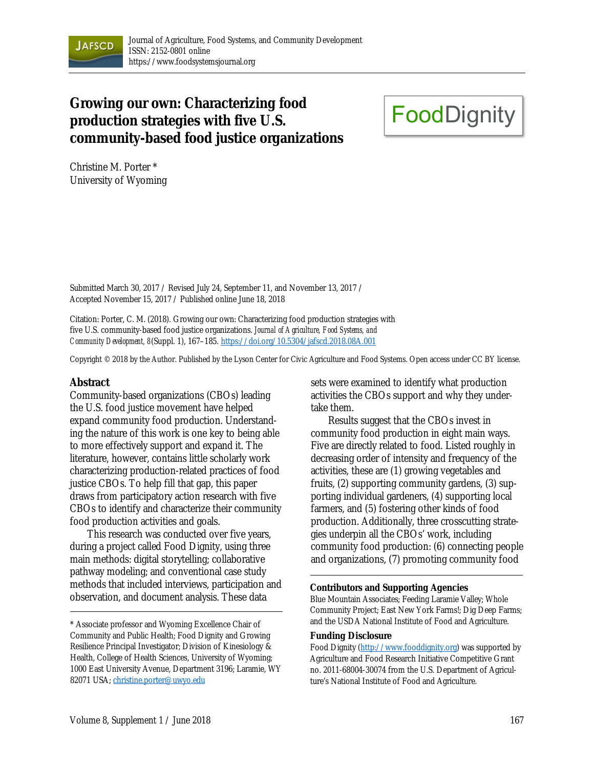

## **Growing our own: Characterizing food production strategies with five U.S. community-based food justice organizations**

# **FoodDignity**

Christine M. Porter \* University of Wyoming

Submitted March 30, 2017 / Revised July 24, September 11, and November 13, 2017 / Accepted November 15, 2017 / Published online June 18, 2018

Citation: Porter, C. M. (2018). Growing our own: Characterizing food production strategies with five U.S. community-based food justice organizations. *Journal of Agriculture, Food Systems, and Community Development, 8*(Suppl. 1), 167–185. https://doi.org/10.5304/jafscd.2018.08A.001

Copyright © 2018 by the Author. Published by the Lyson Center for Civic Agriculture and Food Systems. Open access under CC BY license.

#### **Abstract**

Community-based organizations (CBOs) leading the U.S. food justice movement have helped expand community food production. Understanding the nature of this work is one key to being able to more effectively support and expand it. The literature, however, contains little scholarly work characterizing production-related practices of food justice CBOs. To help fill that gap, this paper draws from participatory action research with five CBOs to identify and characterize their community food production activities and goals.

This research was conducted over five years, during a project called Food Dignity, using three main methods: digital storytelling; collaborative pathway modeling; and conventional case study methods that included interviews, participation and observation, and document analysis. These data

sets were examined to identify what production activities the CBOs support and why they undertake them.

 Results suggest that the CBOs invest in community food production in eight main ways. Five are directly related to food. Listed roughly in decreasing order of intensity and frequency of the activities, these are (1) growing vegetables and fruits, (2) supporting community gardens, (3) supporting individual gardeners, (4) supporting local farmers, and (5) fostering other kinds of food production. Additionally, three crosscutting strategies underpin all the CBOs' work, including community food production: (6) connecting people and organizations, (7) promoting community food

#### **Contributors and Supporting Agencies**

Blue Mountain Associates; Feeding Laramie Valley; Whole Community Project; East New York Farms!; Dig Deep Farms; and the USDA National Institute of Food and Agriculture.

#### **Funding Disclosure**

Food Dignity (http://www.fooddignity.org) was supported by Agriculture and Food Research Initiative Competitive Grant no. 2011-68004-30074 from the U.S. Department of Agriculture's National Institute of Food and Agriculture.

<sup>\*</sup> Associate professor and Wyoming Excellence Chair of Community and Public Health; Food Dignity and Growing Resilience Principal Investigator; Division of Kinesiology & Health, College of Health Sciences, University of Wyoming; 1000 East University Avenue, Department 3196; Laramie, WY 82071 USA; christine.porter@uwyo.edu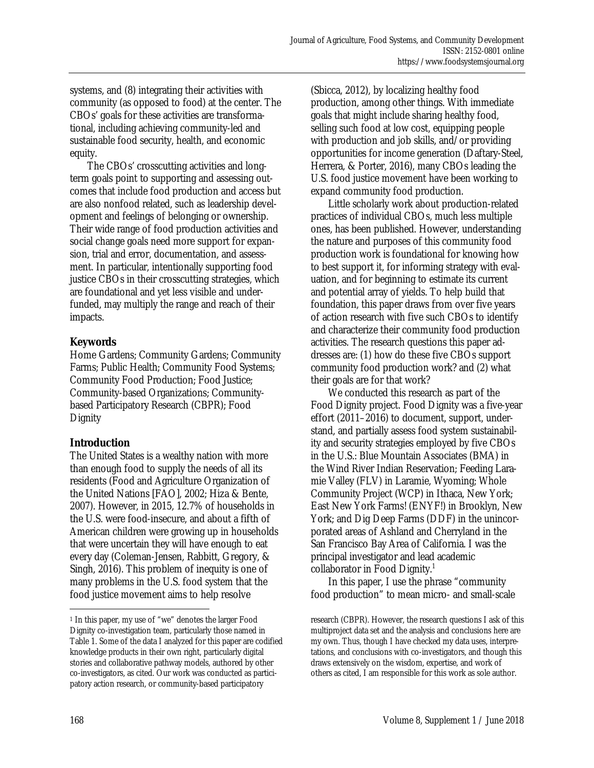systems, and (8) integrating their activities with community (as opposed to food) at the center. The CBOs' goals for these activities are transformational, including achieving community-led and sustainable food security, health, and economic equity.

 The CBOs' crosscutting activities and longterm goals point to supporting and assessing outcomes that include food production and access but are also nonfood related, such as leadership development and feelings of belonging or ownership. Their wide range of food production activities and social change goals need more support for expansion, trial and error, documentation, and assessment. In particular, intentionally supporting food justice CBOs in their crosscutting strategies, which are foundational and yet less visible and underfunded, may multiply the range and reach of their impacts.

#### **Keywords**

Home Gardens; Community Gardens; Community Farms; Public Health; Community Food Systems; Community Food Production; Food Justice; Community-based Organizations; Communitybased Participatory Research (CBPR); Food **Dignity** 

## **Introduction**

The United States is a wealthy nation with more than enough food to supply the needs of all its residents (Food and Agriculture Organization of the United Nations [FAO], 2002; Hiza & Bente, 2007). However, in 2015, 12.7% of households in the U.S. were food-insecure, and about a fifth of American children were growing up in households that were uncertain they will have enough to eat every day (Coleman-Jensen, Rabbitt, Gregory, & Singh, 2016). This problem of inequity is one of many problems in the U.S. food system that the food justice movement aims to help resolve

(Sbicca, 2012), by localizing healthy food production, among other things. With immediate goals that might include sharing healthy food, selling such food at low cost, equipping people with production and job skills, and/or providing opportunities for income generation (Daftary-Steel, Herrera, & Porter, 2016), many CBOs leading the U.S. food justice movement have been working to expand community food production.

 Little scholarly work about production-related practices of individual CBOs, much less multiple ones, has been published. However, understanding the nature and purposes of this community food production work is foundational for knowing how to best support it, for informing strategy with evaluation, and for beginning to estimate its current and potential array of yields. To help build that foundation, this paper draws from over five years of action research with five such CBOs to identify and characterize their community food production activities. The research questions this paper addresses are: (1) how do these five CBOs support community food production work? and (2) what their goals are for that work?

 We conducted this research as part of the Food Dignity project. Food Dignity was a five-year effort (2011–2016) to document, support, understand, and partially assess food system sustainability and security strategies employed by five CBOs in the U.S.: Blue Mountain Associates (BMA) in the Wind River Indian Reservation; Feeding Laramie Valley (FLV) in Laramie, Wyoming; Whole Community Project (WCP) in Ithaca, New York; East New York Farms! (ENYF!) in Brooklyn, New York; and Dig Deep Farms (DDF) in the unincorporated areas of Ashland and Cherryland in the San Francisco Bay Area of California. I was the principal investigator and lead academic collaborator in Food Dignity.<sup>1</sup>

 In this paper, I use the phrase "community food production" to mean micro- and small-scale

 $\overline{a}$ 

<sup>1</sup> In this paper, my use of "we" denotes the larger Food Dignity co-investigation team, particularly those named in Table 1. Some of the data I analyzed for this paper are codified knowledge products in their own right, particularly digital stories and collaborative pathway models, authored by other co-investigators, as cited. Our work was conducted as participatory action research, or community-based participatory

research (CBPR). However, the research questions I ask of this multiproject data set and the analysis and conclusions here are my own. Thus, though I have checked my data uses, interpretations, and conclusions with co-investigators, and though this draws extensively on the wisdom, expertise, and work of others as cited, I am responsible for this work as sole author.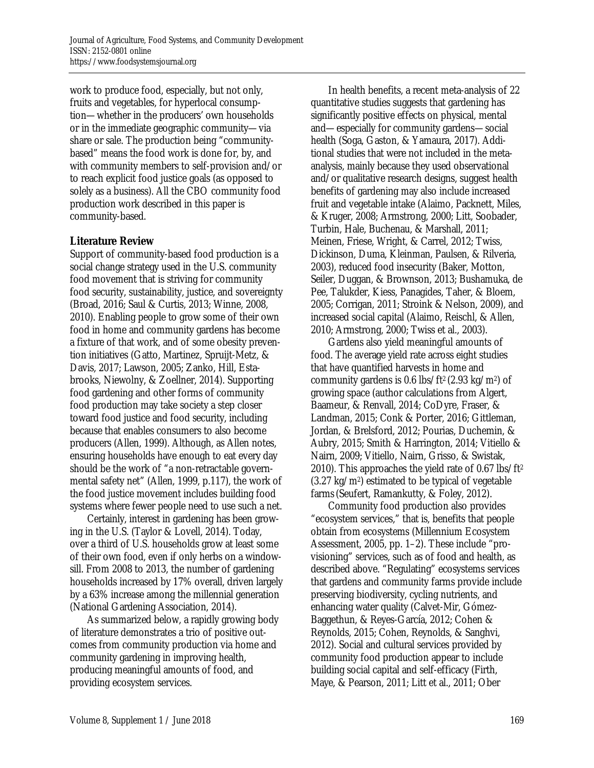work to produce food, especially, but not only, fruits and vegetables, for hyperlocal consumption—whether in the producers' own households or in the immediate geographic community—via share or sale. The production being "communitybased" means the food work is done for, by, and with community members to self-provision and/or to reach explicit food justice goals (as opposed to solely as a business). All the CBO community food production work described in this paper is community-based.

#### **Literature Review**

Support of community-based food production is a social change strategy used in the U.S. community food movement that is striving for community food security, sustainability, justice, and sovereignty (Broad, 2016; Saul & Curtis, 2013; Winne, 2008, 2010). Enabling people to grow some of their own food in home and community gardens has become a fixture of that work, and of some obesity prevention initiatives (Gatto, Martinez, Spruijt-Metz, & Davis, 2017; Lawson, 2005; Zanko, Hill, Estabrooks, Niewolny, & Zoellner, 2014). Supporting food gardening and other forms of community food production may take society a step closer toward food justice and food security, including because that enables consumers to also become producers (Allen, 1999). Although, as Allen notes, ensuring households have enough to eat every day should be the work of "a non-retractable governmental safety net" (Allen, 1999, p.117), the work of the food justice movement includes building food systems where fewer people need to use such a net.

 Certainly, interest in gardening has been growing in the U.S. (Taylor & Lovell, 2014). Today, over a third of U.S. households grow at least some of their own food, even if only herbs on a windowsill. From 2008 to 2013, the number of gardening households increased by 17% overall, driven largely by a 63% increase among the millennial generation (National Gardening Association, 2014).

 As summarized below, a rapidly growing body of literature demonstrates a trio of positive outcomes from community production via home and community gardening in improving health, producing meaningful amounts of food, and providing ecosystem services.

 In health benefits, a recent meta-analysis of 22 quantitative studies suggests that gardening has significantly positive effects on physical, mental and—especially for community gardens—social health (Soga, Gaston, & Yamaura, 2017). Additional studies that were not included in the metaanalysis, mainly because they used observational and/or qualitative research designs, suggest health benefits of gardening may also include increased fruit and vegetable intake (Alaimo, Packnett, Miles, & Kruger, 2008; Armstrong, 2000; Litt, Soobader, Turbin, Hale, Buchenau, & Marshall, 2011; Meinen, Friese, Wright, & Carrel, 2012; Twiss, Dickinson, Duma, Kleinman, Paulsen, & Rilveria, 2003), reduced food insecurity (Baker, Motton, Seiler, Duggan, & Brownson, 2013; Bushamuka, de Pee, Talukder, Kiess, Panagides, Taher, & Bloem, 2005; Corrigan, 2011; Stroink & Nelson, 2009), and increased social capital (Alaimo, Reischl, & Allen, 2010; Armstrong, 2000; Twiss et al., 2003).

 Gardens also yield meaningful amounts of food. The average yield rate across eight studies that have quantified harvests in home and community gardens is  $0.6$  lbs/ft<sup>2</sup> (2.93 kg/m<sup>2</sup>) of growing space (author calculations from Algert, Baameur, & Renvall, 2014; CoDyre, Fraser, & Landman, 2015; Conk & Porter, 2016; Gittleman, Jordan, & Brelsford, 2012; Pourias, Duchemin, & Aubry, 2015; Smith & Harrington, 2014; Vitiello & Nairn, 2009; Vitiello, Nairn, Grisso, & Swistak, 2010). This approaches the yield rate of 0.67 lbs/ft2 (3.27 kg/m2) estimated to be typical of vegetable farms(Seufert, Ramankutty, & Foley, 2012).

 Community food production also provides "ecosystem services," that is, benefits that people obtain from ecosystems (Millennium Ecosystem Assessment, 2005, pp. 1–2). These include "provisioning" services, such as of food and health, as described above. "Regulating" ecosystems services that gardens and community farms provide include preserving biodiversity, cycling nutrients, and enhancing water quality (Calvet-Mir, Gómez-Baggethun, & Reyes-García, 2012; Cohen & Reynolds, 2015; Cohen, Reynolds, & Sanghvi, 2012). Social and cultural services provided by community food production appear to include building social capital and self-efficacy (Firth, Maye, & Pearson, 2011; Litt et al., 2011; Ober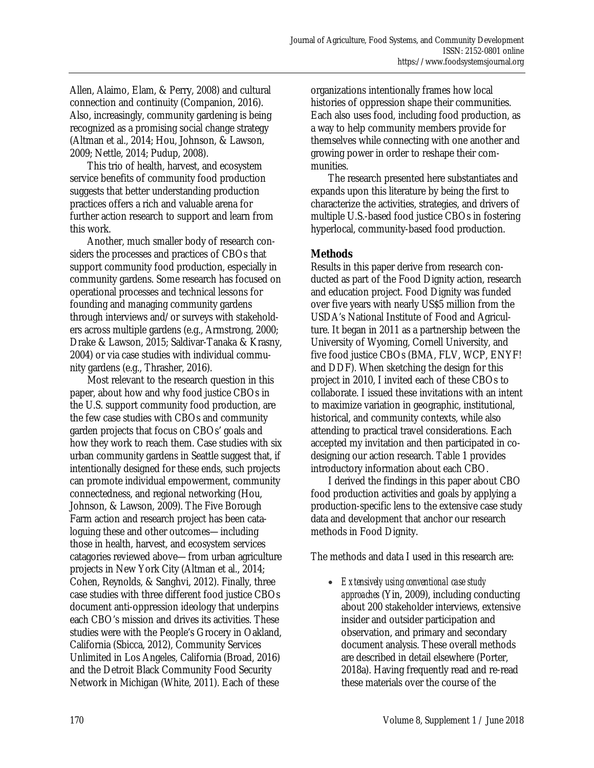Allen, Alaimo, Elam, & Perry, 2008) and cultural connection and continuity (Companion, 2016). Also, increasingly, community gardening is being recognized as a promising social change strategy (Altman et al., 2014; Hou, Johnson, & Lawson, 2009; Nettle, 2014; Pudup, 2008).

 This trio of health, harvest, and ecosystem service benefits of community food production suggests that better understanding production practices offers a rich and valuable arena for further action research to support and learn from this work.

 Another, much smaller body of research considers the processes and practices of CBOs that support community food production, especially in community gardens. Some research has focused on operational processes and technical lessons for founding and managing community gardens through interviews and/or surveys with stakeholders across multiple gardens (e.g., Armstrong, 2000; Drake & Lawson, 2015; Saldivar-Tanaka & Krasny, 2004) or via case studies with individual community gardens (e.g., Thrasher, 2016).

 Most relevant to the research question in this paper, about how and why food justice CBOs in the U.S. support community food production, are the few case studies with CBOs and community garden projects that focus on CBOs' goals and how they work to reach them. Case studies with six urban community gardens in Seattle suggest that, if intentionally designed for these ends, such projects can promote individual empowerment, community connectedness, and regional networking (Hou, Johnson, & Lawson, 2009). The Five Borough Farm action and research project has been cataloguing these and other outcomes—including those in health, harvest, and ecosystem services catagories reviewed above—from urban agriculture projects in New York City (Altman et al., 2014; Cohen, Reynolds, & Sanghvi, 2012). Finally, three case studies with three different food justice CBOs document anti-oppression ideology that underpins each CBO's mission and drives its activities. These studies were with the People's Grocery in Oakland, California (Sbicca, 2012), Community Services Unlimited in Los Angeles, California (Broad, 2016) and the Detroit Black Community Food Security Network in Michigan (White, 2011). Each of these

organizations intentionally frames how local histories of oppression shape their communities. Each also uses food, including food production, as a way to help community members provide for themselves while connecting with one another and growing power in order to reshape their communities.

 The research presented here substantiates and expands upon this literature by being the first to characterize the activities, strategies, and drivers of multiple U.S.-based food justice CBOs in fostering hyperlocal, community-based food production.

## **Methods**

Results in this paper derive from research conducted as part of the Food Dignity action, research and education project. Food Dignity was funded over five years with nearly US\$5 million from the USDA's National Institute of Food and Agriculture. It began in 2011 as a partnership between the University of Wyoming, Cornell University, and five food justice CBOs (BMA, FLV, WCP, ENYF! and DDF). When sketching the design for this project in 2010, I invited each of these CBOs to collaborate. I issued these invitations with an intent to maximize variation in geographic, institutional, historical, and community contexts, while also attending to practical travel considerations. Each accepted my invitation and then participated in codesigning our action research. Table 1 provides introductory information about each CBO.

 I derived the findings in this paper about CBO food production activities and goals by applying a production-specific lens to the extensive case study data and development that anchor our research methods in Food Dignity.

The methods and data I used in this research are:

• *Extensively using conventional case study approaches* (Yin, 2009), including conducting about 200 stakeholder interviews, extensive insider and outsider participation and observation, and primary and secondary document analysis. These overall methods are described in detail elsewhere (Porter, 2018a). Having frequently read and re-read these materials over the course of the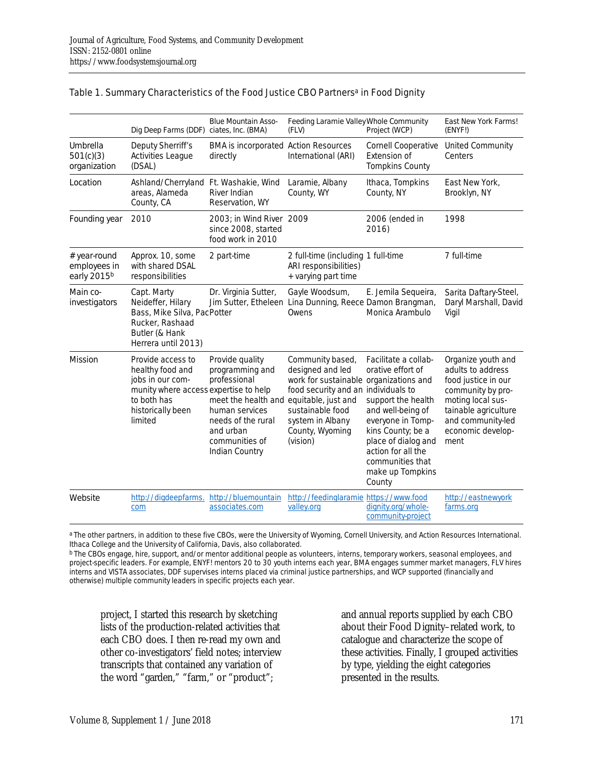|                                                         | Dig Deep Farms (DDF) ciates, Inc. (BMA)                                                                                                           | <b>Blue Mountain Asso-</b>                                                                                                                                                             | Feeding Laramie Valley Whole Community<br>(FLV)                                                                                                                                              | Project (WCP)                                                                                                                                                                                                                 | East New York Farms!<br>(ENYF!)                                                                                                                                                    |
|---------------------------------------------------------|---------------------------------------------------------------------------------------------------------------------------------------------------|----------------------------------------------------------------------------------------------------------------------------------------------------------------------------------------|----------------------------------------------------------------------------------------------------------------------------------------------------------------------------------------------|-------------------------------------------------------------------------------------------------------------------------------------------------------------------------------------------------------------------------------|------------------------------------------------------------------------------------------------------------------------------------------------------------------------------------|
| Umbrella<br>501(c)(3)<br>organization                   | Deputy Sherriff's<br><b>Activities League</b><br>(DSAL)                                                                                           | <b>BMA</b> is incorporated Action Resources<br>directly                                                                                                                                | International (ARI)                                                                                                                                                                          | <b>Cornell Cooperative</b><br>Extension of<br><b>Tompkins County</b>                                                                                                                                                          | <b>United Community</b><br>Centers                                                                                                                                                 |
| Location                                                | Ashland/Cherryland Ft. Washakie, Wind<br>areas, Alameda<br>County, CA                                                                             | River Indian<br>Reservation, WY                                                                                                                                                        | Laramie, Albany<br>County, WY                                                                                                                                                                | Ithaca, Tompkins<br>County, NY                                                                                                                                                                                                | East New York,<br>Brooklyn, NY                                                                                                                                                     |
| Founding year                                           | 2010                                                                                                                                              | 2003; in Wind River 2009<br>since 2008, started<br>food work in 2010                                                                                                                   |                                                                                                                                                                                              | 2006 (ended in<br>2016)                                                                                                                                                                                                       | 1998                                                                                                                                                                               |
| # year-round<br>employees in<br>early 2015 <sup>b</sup> | Approx. 10, some<br>with shared DSAL<br>responsibilities                                                                                          | 2 part-time                                                                                                                                                                            | 2 full-time (including 1 full-time<br>ARI responsibilities)<br>+ varying part time                                                                                                           |                                                                                                                                                                                                                               | 7 full-time                                                                                                                                                                        |
| Main co-<br>investigators                               | Capt. Marty<br>Neideffer, Hilary<br>Bass, Mike Silva, PacPotter<br>Rucker, Rashaad<br>Butler (& Hank<br>Herrera until 2013)                       | Dr. Virginia Sutter,                                                                                                                                                                   | Gayle Woodsum,<br>Jim Sutter, Etheleen Lina Dunning, Reece Damon Brangman,<br>Owens                                                                                                          | E. Jemila Sequeira,<br>Monica Arambulo                                                                                                                                                                                        | Sarita Daftary-Steel,<br>Daryl Marshall, David<br>Vigil                                                                                                                            |
| <b>Mission</b>                                          | Provide access to<br>healthy food and<br>jobs in our com-<br>munity where access expertise to help<br>to both has<br>historically been<br>limited | Provide quality<br>programming and<br>professional<br>meet the health and equitable, just and<br>human services<br>needs of the rural<br>and urban<br>communities of<br>Indian Country | Community based,<br>designed and led<br>work for sustainable organizations and<br>food security and an individuals to<br>sustainable food<br>system in Albany<br>County, Wyoming<br>(vision) | Facilitate a collab-<br>orative effort of<br>support the health<br>and well-being of<br>everyone in Tomp-<br>kins County; be a<br>place of dialog and<br>action for all the<br>communities that<br>make up Tompkins<br>County | Organize youth and<br>adults to address<br>food justice in our<br>community by pro-<br>moting local sus-<br>tainable agriculture<br>and community-led<br>economic develop-<br>ment |
| Website                                                 | http://digdeepfarms.<br>com                                                                                                                       | http://bluemountain<br>associates.com                                                                                                                                                  | http://feedinglaramie_https://www.food<br>valley.org                                                                                                                                         | dignity.org/whole-<br>community-project                                                                                                                                                                                       | http://eastnewyork<br>farms.org                                                                                                                                                    |

#### Table 1. Summary Characteristics of the Food Justice CBO Partners<sup>a</sup> in Food Dignity

a The other partners, in addition to these five CBOs, were the University of Wyoming, Cornell University, and Action Resources International. Ithaca College and the University of California, Davis, also collaborated.

b The CBOs engage, hire, support, and/or mentor additional people as volunteers, interns, temporary workers, seasonal employees, and project-specific leaders. For example, ENYF! mentors 20 to 30 youth interns each year, BMA engages summer market managers, FLV hires interns and VISTA associates, DDF supervises interns placed via criminal justice partnerships, and WCP supported (financially and otherwise) multiple community leaders in specific projects each year.

project, I started this research by sketching lists of the production-related activities that each CBO does. I then re-read my own and other co-investigators' field notes; interview transcripts that contained any variation of the word "garden," "farm," or "product";

and annual reports supplied by each CBO about their Food Dignity–related work, to catalogue and characterize the scope of these activities. Finally, I grouped activities by type, yielding the eight categories presented in the results.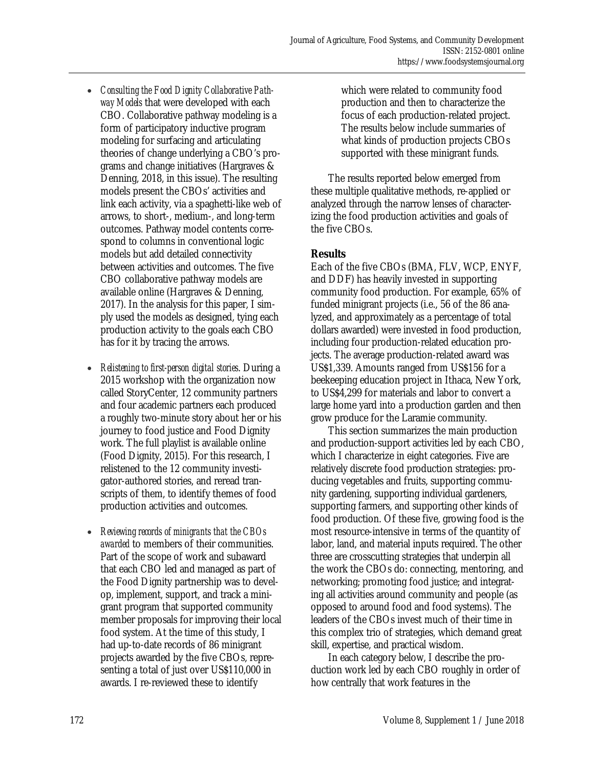- *Consulting the Food Dignity Collaborative Pathway Models* that were developed with each CBO. Collaborative pathway modeling is a form of participatory inductive program modeling for surfacing and articulating theories of change underlying a CBO's programs and change initiatives (Hargraves & Denning, 2018, in this issue). The resulting models present the CBOs' activities and link each activity, via a spaghetti-like web of arrows, to short-, medium-, and long-term outcomes. Pathway model contents correspond to columns in conventional logic models but add detailed connectivity between activities and outcomes. The five CBO collaborative pathway models are available online (Hargraves & Denning, 2017). In the analysis for this paper, I simply used the models as designed, tying each production activity to the goals each CBO has for it by tracing the arrows.
- *Relistening to first-person digital stories*. During a 2015 workshop with the organization now called StoryCenter, 12 community partners and four academic partners each produced a roughly two-minute story about her or his journey to food justice and Food Dignity work. The full playlist is available online (Food Dignity, 2015). For this research, I relistened to the 12 community investigator-authored stories, and reread transcripts of them, to identify themes of food production activities and outcomes.
- *Reviewing records of minigrants that the CBOs awarded* to members of their communities. Part of the scope of work and subaward that each CBO led and managed as part of the Food Dignity partnership was to develop, implement, support, and track a minigrant program that supported community member proposals for improving their local food system. At the time of this study, I had up-to-date records of 86 minigrant projects awarded by the five CBOs, representing a total of just over US\$110,000 in awards. I re-reviewed these to identify

which were related to community food production and then to characterize the focus of each production-related project. The results below include summaries of what kinds of production projects CBOs supported with these minigrant funds.

 The results reported below emerged from these multiple qualitative methods, re-applied or analyzed through the narrow lenses of characterizing the food production activities and goals of the five CBOs.

#### **Results**

Each of the five CBOs (BMA, FLV, WCP, ENYF, and DDF) has heavily invested in supporting community food production. For example, 65% of funded minigrant projects (i.e., 56 of the 86 analyzed, and approximately as a percentage of total dollars awarded) were invested in food production, including four production-related education projects. The average production-related award was US\$1,339. Amounts ranged from US\$156 for a beekeeping education project in Ithaca, New York, to US\$4,299 for materials and labor to convert a large home yard into a production garden and then grow produce for the Laramie community.

 This section summarizes the main production and production-support activities led by each CBO, which I characterize in eight categories. Five are relatively discrete food production strategies: producing vegetables and fruits, supporting community gardening, supporting individual gardeners, supporting farmers, and supporting other kinds of food production. Of these five, growing food is the most resource-intensive in terms of the quantity of labor, land, and material inputs required. The other three are crosscutting strategies that underpin all the work the CBOs do: connecting, mentoring, and networking; promoting food justice; and integrating all activities around community and people (as opposed to around food and food systems). The leaders of the CBOs invest much of their time in this complex trio of strategies, which demand great skill, expertise, and practical wisdom.

 In each category below, I describe the production work led by each CBO roughly in order of how centrally that work features in the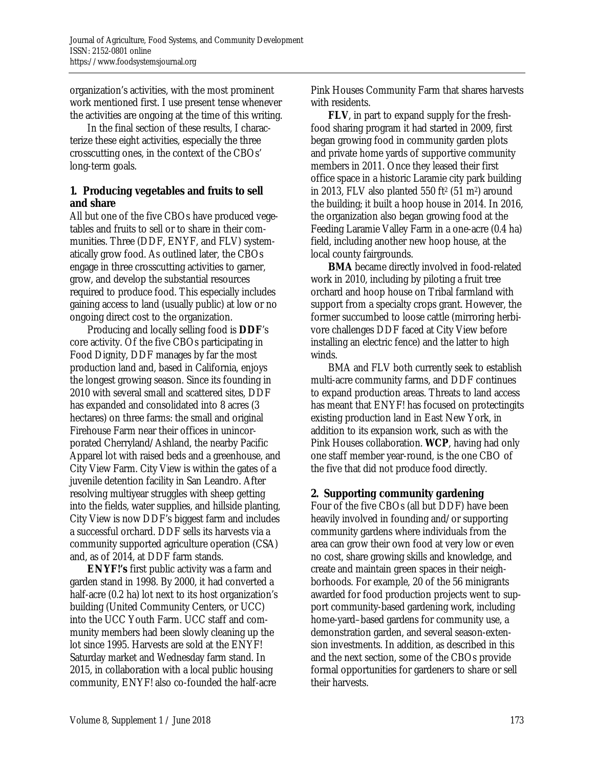organization's activities, with the most prominent work mentioned first. I use present tense whenever the activities are ongoing at the time of this writing.

 In the final section of these results, I characterize these eight activities, especially the three crosscutting ones, in the context of the CBOs' long-term goals.

#### **1. Producing vegetables and fruits to sell and share**

All but one of the five CBOs have produced vegetables and fruits to sell or to share in their communities. Three (DDF, ENYF, and FLV) systematically grow food. As outlined later, the CBOs engage in three crosscutting activities to garner, grow, and develop the substantial resources required to produce food. This especially includes gaining access to land (usually public) at low or no ongoing direct cost to the organization.

 Producing and locally selling food is **DDF**'s core activity. Of the five CBOs participating in Food Dignity, DDF manages by far the most production land and, based in California, enjoys the longest growing season. Since its founding in 2010 with several small and scattered sites, DDF has expanded and consolidated into 8 acres (3 hectares) on three farms: the small and original Firehouse Farm near their offices in unincorporated Cherryland/Ashland, the nearby Pacific Apparel lot with raised beds and a greenhouse, and City View Farm. City View is within the gates of a juvenile detention facility in San Leandro. After resolving multiyear struggles with sheep getting into the fields, water supplies, and hillside planting, City View is now DDF's biggest farm and includes a successful orchard. DDF sells its harvests via a community supported agriculture operation (CSA) and, as of 2014, at DDF farm stands.

 **ENYF!'s** first public activity was a farm and garden stand in 1998. By 2000, it had converted a half-acre (0.2 ha) lot next to its host organization's building (United Community Centers, or UCC) into the UCC Youth Farm. UCC staff and community members had been slowly cleaning up the lot since 1995. Harvests are sold at the ENYF! Saturday market and Wednesday farm stand. In 2015, in collaboration with a local public housing community, ENYF! also co-founded the half-acre

Pink Houses Community Farm that shares harvests with residents.

 **FLV**, in part to expand supply for the freshfood sharing program it had started in 2009, first began growing food in community garden plots and private home yards of supportive community members in 2011. Once they leased their first office space in a historic Laramie city park building in 2013, FLV also planted 550 ft<sup>2</sup> (51 m<sup>2</sup>) around the building; it built a hoop house in 2014. In 2016, the organization also began growing food at the Feeding Laramie Valley Farm in a one-acre (0.4 ha) field, including another new hoop house, at the local county fairgrounds.

 **BMA** became directly involved in food-related work in 2010, including by piloting a fruit tree orchard and hoop house on Tribal farmland with support from a specialty crops grant. However, the former succumbed to loose cattle (mirroring herbivore challenges DDF faced at City View before installing an electric fence) and the latter to high winds.

 BMA and FLV both currently seek to establish multi-acre community farms, and DDF continues to expand production areas. Threats to land access has meant that ENYF! has focused on protectingits existing production land in East New York, in addition to its expansion work, such as with the Pink Houses collaboration. **WCP**, having had only one staff member year-round, is the one CBO of the five that did not produce food directly.

## **2. Supporting community gardening**

Four of the five CBOs (all but DDF) have been heavily involved in founding and/or supporting community gardens where individuals from the area can grow their own food at very low or even no cost, share growing skills and knowledge, and create and maintain green spaces in their neighborhoods. For example, 20 of the 56 minigrants awarded for food production projects went to support community-based gardening work, including home-yard–based gardens for community use, a demonstration garden, and several season-extension investments. In addition, as described in this and the next section, some of the CBOs provide formal opportunities for gardeners to share or sell their harvests.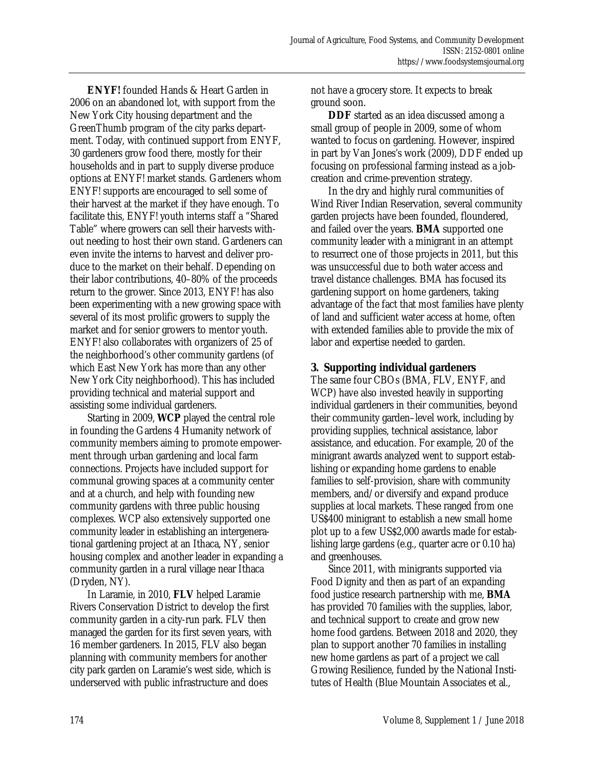**ENYF!** founded Hands & Heart Garden in 2006 on an abandoned lot, with support from the New York City housing department and the GreenThumb program of the city parks department. Today, with continued support from ENYF, 30 gardeners grow food there, mostly for their households and in part to supply diverse produce options at ENYF! market stands. Gardeners whom ENYF! supports are encouraged to sell some of their harvest at the market if they have enough. To facilitate this, ENYF! youth interns staff a "Shared Table" where growers can sell their harvests without needing to host their own stand. Gardeners can even invite the interns to harvest and deliver produce to the market on their behalf. Depending on their labor contributions, 40–80% of the proceeds return to the grower. Since 2013, ENYF! has also been experimenting with a new growing space with several of its most prolific growers to supply the market and for senior growers to mentor youth. ENYF! also collaborates with organizers of 25 of the neighborhood's other community gardens (of which East New York has more than any other New York City neighborhood). This has included providing technical and material support and assisting some individual gardeners.

 Starting in 2009, **WCP** played the central role in founding the Gardens 4 Humanity network of community members aiming to promote empowerment through urban gardening and local farm connections. Projects have included support for communal growing spaces at a community center and at a church, and help with founding new community gardens with three public housing complexes. WCP also extensively supported one community leader in establishing an intergenerational gardening project at an Ithaca, NY, senior housing complex and another leader in expanding a community garden in a rural village near Ithaca (Dryden, NY).

 In Laramie, in 2010, **FLV** helped Laramie Rivers Conservation District to develop the first community garden in a city-run park. FLV then managed the garden for its first seven years, with 16 member gardeners. In 2015, FLV also began planning with community members for another city park garden on Laramie's west side, which is underserved with public infrastructure and does

not have a grocery store. It expects to break ground soon.

 **DDF** started as an idea discussed among a small group of people in 2009, some of whom wanted to focus on gardening. However, inspired in part by Van Jones's work (2009), DDF ended up focusing on professional farming instead as a jobcreation and crime-prevention strategy.

 In the dry and highly rural communities of Wind River Indian Reservation, several community garden projects have been founded, floundered, and failed over the years. **BMA** supported one community leader with a minigrant in an attempt to resurrect one of those projects in 2011, but this was unsuccessful due to both water access and travel distance challenges. BMA has focused its gardening support on home gardeners, taking advantage of the fact that most families have plenty of land and sufficient water access at home, often with extended families able to provide the mix of labor and expertise needed to garden.

#### **3. Supporting individual gardeners**

The same four CBOs (BMA, FLV, ENYF, and WCP) have also invested heavily in supporting individual gardeners in their communities, beyond their community garden–level work, including by providing supplies, technical assistance, labor assistance, and education. For example, 20 of the minigrant awards analyzed went to support establishing or expanding home gardens to enable families to self-provision, share with community members, and/or diversify and expand produce supplies at local markets. These ranged from one US\$400 minigrant to establish a new small home plot up to a few US\$2,000 awards made for establishing large gardens (e.g., quarter acre or 0.10 ha) and greenhouses.

 Since 2011, with minigrants supported via Food Dignity and then as part of an expanding food justice research partnership with me, **BMA** has provided 70 families with the supplies, labor, and technical support to create and grow new home food gardens. Between 2018 and 2020, they plan to support another 70 families in installing new home gardens as part of a project we call Growing Resilience, funded by the National Institutes of Health (Blue Mountain Associates et al.,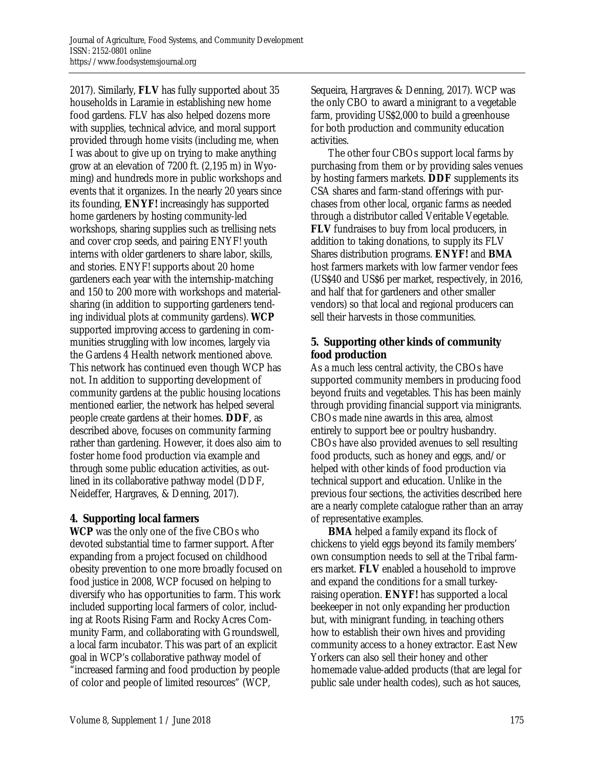2017). Similarly, **FLV** has fully supported about 35 households in Laramie in establishing new home food gardens. FLV has also helped dozens more with supplies, technical advice, and moral support provided through home visits (including me, when I was about to give up on trying to make anything grow at an elevation of 7200 ft. (2,195 m) in Wyoming) and hundreds more in public workshops and events that it organizes. In the nearly 20 years since its founding, **ENYF!** increasingly has supported home gardeners by hosting community-led workshops, sharing supplies such as trellising nets and cover crop seeds, and pairing ENYF! youth interns with older gardeners to share labor, skills, and stories. ENYF! supports about 20 home gardeners each year with the internship-matching and 150 to 200 more with workshops and materialsharing (in addition to supporting gardeners tending individual plots at community gardens). **WCP** supported improving access to gardening in communities struggling with low incomes, largely via the Gardens 4 Health network mentioned above. This network has continued even though WCP has not. In addition to supporting development of community gardens at the public housing locations mentioned earlier, the network has helped several people create gardens at their homes. **DDF**, as described above, focuses on community farming rather than gardening. However, it does also aim to foster home food production via example and through some public education activities, as outlined in its collaborative pathway model (DDF, Neideffer, Hargraves, & Denning, 2017).

#### **4. Supporting local farmers**

**WCP** was the only one of the five CBOs who devoted substantial time to farmer support. After expanding from a project focused on childhood obesity prevention to one more broadly focused on food justice in 2008, WCP focused on helping to diversify who has opportunities to farm. This work included supporting local farmers of color, including at Roots Rising Farm and Rocky Acres Community Farm, and collaborating with Groundswell, a local farm incubator. This was part of an explicit goal in WCP's collaborative pathway model of "increased farming and food production by people of color and people of limited resources" (WCP,

Sequeira, Hargraves & Denning, 2017). WCP was the only CBO to award a minigrant to a vegetable farm, providing US\$2,000 to build a greenhouse for both production and community education activities.

 The other four CBOs support local farms by purchasing from them or by providing sales venues by hosting farmers markets. **DDF** supplements its CSA shares and farm-stand offerings with purchases from other local, organic farms as needed through a distributor called Veritable Vegetable. **FLV** fundraises to buy from local producers, in addition to taking donations, to supply its FLV Shares distribution programs. **ENYF!** and **BMA** host farmers markets with low farmer vendor fees (US\$40 and US\$6 per market, respectively, in 2016, and half that for gardeners and other smaller vendors) so that local and regional producers can sell their harvests in those communities.

#### **5. Supporting other kinds of community food production**

As a much less central activity, the CBOs have supported community members in producing food beyond fruits and vegetables. This has been mainly through providing financial support via minigrants. CBOs made nine awards in this area, almost entirely to support bee or poultry husbandry. CBOs have also provided avenues to sell resulting food products, such as honey and eggs, and/or helped with other kinds of food production via technical support and education. Unlike in the previous four sections, the activities described here are a nearly complete catalogue rather than an array of representative examples.

**BMA** helped a family expand its flock of chickens to yield eggs beyond its family members' own consumption needs to sell at the Tribal farmers market. **FLV** enabled a household to improve and expand the conditions for a small turkeyraising operation. **ENYF!** has supported a local beekeeper in not only expanding her production but, with minigrant funding, in teaching others how to establish their own hives and providing community access to a honey extractor. East New Yorkers can also sell their honey and other homemade value-added products (that are legal for public sale under health codes), such as hot sauces,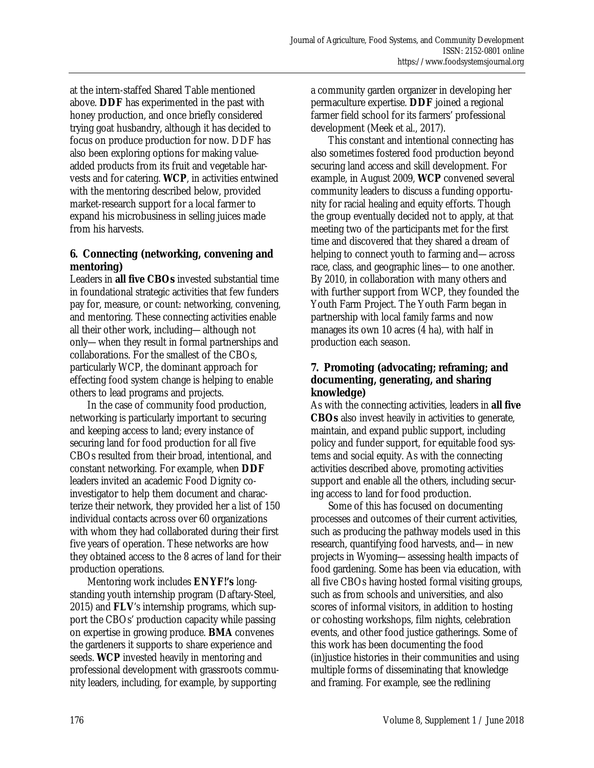at the intern-staffed Shared Table mentioned above. **DDF** has experimented in the past with honey production, and once briefly considered trying goat husbandry, although it has decided to focus on produce production for now. DDF has also been exploring options for making valueadded products from its fruit and vegetable harvests and for catering. **WCP**, in activities entwined with the mentoring described below, provided market-research support for a local farmer to expand his microbusiness in selling juices made from his harvests.

### **6. Connecting (networking, convening and mentoring)**

Leaders in **all five CBOs** invested substantial time in foundational strategic activities that few funders pay for, measure, or count: networking, convening, and mentoring. These connecting activities enable all their other work, including—although not only—when they result in formal partnerships and collaborations. For the smallest of the CBOs, particularly WCP, the dominant approach for effecting food system change is helping to enable others to lead programs and projects.

 In the case of community food production, networking is particularly important to securing and keeping access to land; every instance of securing land for food production for all five CBOs resulted from their broad, intentional, and constant networking. For example, when **DDF** leaders invited an academic Food Dignity coinvestigator to help them document and characterize their network, they provided her a list of 150 individual contacts across over 60 organizations with whom they had collaborated during their first five years of operation. These networks are how they obtained access to the 8 acres of land for their production operations.

 Mentoring work includes **ENYF!'s** longstanding youth internship program (Daftary-Steel, 2015) and **FLV**'s internship programs, which support the CBOs' production capacity while passing on expertise in growing produce. **BMA** convenes the gardeners it supports to share experience and seeds. **WCP** invested heavily in mentoring and professional development with grassroots community leaders, including, for example, by supporting

a community garden organizer in developing her permaculture expertise. **DDF** joined a regional farmer field school for its farmers' professional development (Meek et al., 2017).

 This constant and intentional connecting has also sometimes fostered food production beyond securing land access and skill development. For example, in August 2009, **WCP** convened several community leaders to discuss a funding opportunity for racial healing and equity efforts. Though the group eventually decided not to apply, at that meeting two of the participants met for the first time and discovered that they shared a dream of helping to connect youth to farming and—across race, class, and geographic lines—to one another. By 2010, in collaboration with many others and with further support from WCP, they founded the Youth Farm Project. The Youth Farm began in partnership with local family farms and now manages its own 10 acres (4 ha), with half in production each season.

#### **7. Promoting (advocating; reframing; and documenting, generating, and sharing knowledge)**

As with the connecting activities, leaders in **all five CBOs** also invest heavily in activities to generate, maintain, and expand public support, including policy and funder support, for equitable food systems and social equity. As with the connecting activities described above, promoting activities support and enable all the others, including securing access to land for food production.

 Some of this has focused on documenting processes and outcomes of their current activities, such as producing the pathway models used in this research, quantifying food harvests, and—in new projects in Wyoming—assessing health impacts of food gardening. Some has been via education, with all five CBOs having hosted formal visiting groups, such as from schools and universities, and also scores of informal visitors, in addition to hosting or cohosting workshops, film nights, celebration events, and other food justice gatherings. Some of this work has been documenting the food (in)justice histories in their communities and using multiple forms of disseminating that knowledge and framing. For example, see the redlining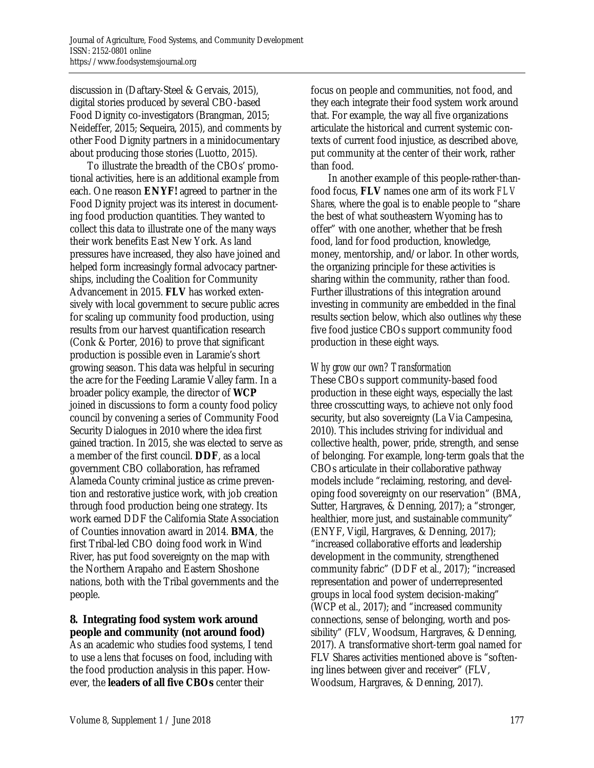discussion in (Daftary-Steel & Gervais, 2015), digital stories produced by several CBO-based Food Dignity co-investigators (Brangman, 2015; Neideffer, 2015; Sequeira, 2015), and comments by other Food Dignity partners in a minidocumentary about producing those stories (Luotto, 2015).

 To illustrate the breadth of the CBOs' promotional activities, here is an additional example from each. One reason **ENYF!** agreed to partner in the Food Dignity project was its interest in documenting food production quantities. They wanted to collect this data to illustrate one of the many ways their work benefits East New York. As land pressures have increased, they also have joined and helped form increasingly formal advocacy partnerships, including the Coalition for Community Advancement in 2015. **FLV** has worked extensively with local government to secure public acres for scaling up community food production, using results from our harvest quantification research (Conk & Porter, 2016) to prove that significant production is possible even in Laramie's short growing season. This data was helpful in securing the acre for the Feeding Laramie Valley farm. In a broader policy example, the director of **WCP** joined in discussions to form a county food policy council by convening a series of Community Food Security Dialogues in 2010 where the idea first gained traction. In 2015, she was elected to serve as a member of the first council. **DDF**, as a local government CBO collaboration, has reframed Alameda County criminal justice as crime prevention and restorative justice work, with job creation through food production being one strategy. Its work earned DDF the California State Association of Counties innovation award in 2014. **BMA**, the first Tribal-led CBO doing food work in Wind River, has put food sovereignty on the map with the Northern Arapaho and Eastern Shoshone nations, both with the Tribal governments and the people.

## **8. Integrating food system work around people and community (not around food)**

As an academic who studies food systems, I tend to use a lens that focuses on food, including with the food production analysis in this paper. However, the **leaders of all five CBOs** center their

focus on people and communities, not food, and they each integrate their food system work around that. For example, the way all five organizations articulate the historical and current systemic contexts of current food injustice, as described above, put community at the center of their work, rather than food.

 In another example of this people-rather-thanfood focus, **FLV** names one arm of its work *FLV Shares,* where the goal is to enable people to "share the best of what southeastern Wyoming has to offer" with one another, whether that be fresh food, land for food production, knowledge, money, mentorship, and/or labor. In other words, the organizing principle for these activities is sharing within the community, rather than food. Further illustrations of this integration around investing in community are embedded in the final results section below, which also outlines *why* these five food justice CBOs support community food production in these eight ways.

## *Why grow our own? Transformation*

These CBOs support community-based food production in these eight ways, especially the last three crosscutting ways, to achieve not only food security, but also sovereignty (La Via Campesina, 2010). This includes striving for individual and collective health, power, pride, strength, and sense of belonging. For example, long-term goals that the CBOs articulate in their collaborative pathway models include "reclaiming, restoring, and developing food sovereignty on our reservation" (BMA, Sutter, Hargraves, & Denning, 2017); a "stronger, healthier, more just, and sustainable community" (ENYF, Vigil, Hargraves, & Denning, 2017); "increased collaborative efforts and leadership development in the community, strengthened community fabric" (DDF et al., 2017); "increased representation and power of underrepresented groups in local food system decision-making" (WCP et al., 2017); and "increased community connections, sense of belonging, worth and possibility" (FLV, Woodsum, Hargraves, & Denning, 2017). A transformative short-term goal named for FLV Shares activities mentioned above is "softening lines between giver and receiver" (FLV, Woodsum, Hargraves, & Denning, 2017).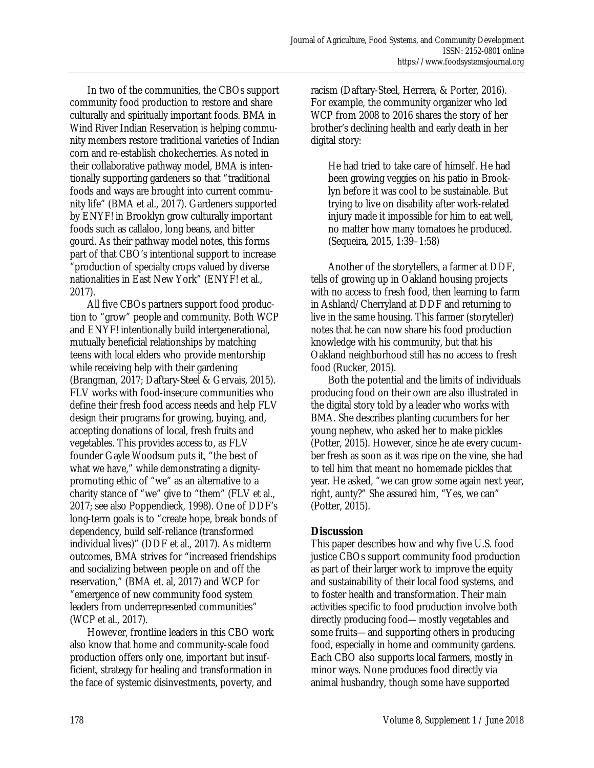In two of the communities, the CBOs support community food production to restore and share culturally and spiritually important foods. BMA in Wind River Indian Reservation is helping community members restore traditional varieties of Indian corn and re-establish chokecherries. As noted in their collaborative pathway model, BMA is intentionally supporting gardeners so that "traditional foods and ways are brought into current community life" (BMA et al., 2017). Gardeners supported by ENYF! in Brooklyn grow culturally important foods such as callaloo, long beans, and bitter gourd. As their pathway model notes, this forms part of that CBO's intentional support to increase "production of specialty crops valued by diverse nationalities in East New York" (ENYF! et al., 2017).

 All five CBOs partners support food production to "grow" people and community. Both WCP and ENYF! intentionally build intergenerational, mutually beneficial relationships by matching teens with local elders who provide mentorship while receiving help with their gardening (Brangman, 2017; Daftary-Steel & Gervais, 2015). FLV works with food-insecure communities who define their fresh food access needs and help FLV design their programs for growing, buying, and, accepting donations of local, fresh fruits and vegetables. This provides access to, as FLV founder Gayle Woodsum puts it, "the best of what we have," while demonstrating a dignitypromoting ethic of "we" as an alternative to a charity stance of "we" give to "them" (FLV et al., 2017; see also Poppendieck, 1998). One of DDF's long-term goals is to "create hope, break bonds of dependency, build self-reliance (transformed individual lives)" (DDF et al., 2017). As midterm outcomes, BMA strives for "increased friendships and socializing between people on and off the reservation," (BMA et. al, 2017) and WCP for "emergence of new community food system leaders from underrepresented communities" (WCP et al., 2017).

 However, frontline leaders in this CBO work also know that home and community-scale food production offers only one, important but insufficient, strategy for healing and transformation in the face of systemic disinvestments, poverty, and

racism (Daftary-Steel, Herrera, & Porter, 2016). For example, the community organizer who led WCP from 2008 to 2016 shares the story of her brother's declining health and early death in her digital story:

He had tried to take care of himself. He had been growing veggies on his patio in Brooklyn before it was cool to be sustainable. But trying to live on disability after work-related injury made it impossible for him to eat well, no matter how many tomatoes he produced. (Sequeira, 2015, 1:39–1:58)

 Another of the storytellers, a farmer at DDF, tells of growing up in Oakland housing projects with no access to fresh food, then learning to farm in Ashland/Cherryland at DDF and returning to live in the same housing. This farmer (storyteller) notes that he can now share his food production knowledge with his community, but that his Oakland neighborhood still has no access to fresh food (Rucker, 2015).

 Both the potential and the limits of individuals producing food on their own are also illustrated in the digital story told by a leader who works with BMA. She describes planting cucumbers for her young nephew, who asked her to make pickles (Potter, 2015). However, since he ate every cucumber fresh as soon as it was ripe on the vine, she had to tell him that meant no homemade pickles that year. He asked, "we can grow some again next year, right, aunty?" She assured him, "Yes, we can" (Potter, 2015).

## **Discussion**

This paper describes how and why five U.S. food justice CBOs support community food production as part of their larger work to improve the equity and sustainability of their local food systems, and to foster health and transformation. Their main activities specific to food production involve both directly producing food—mostly vegetables and some fruits—and supporting others in producing food, especially in home and community gardens. Each CBO also supports local farmers, mostly in minor ways. None produces food directly via animal husbandry, though some have supported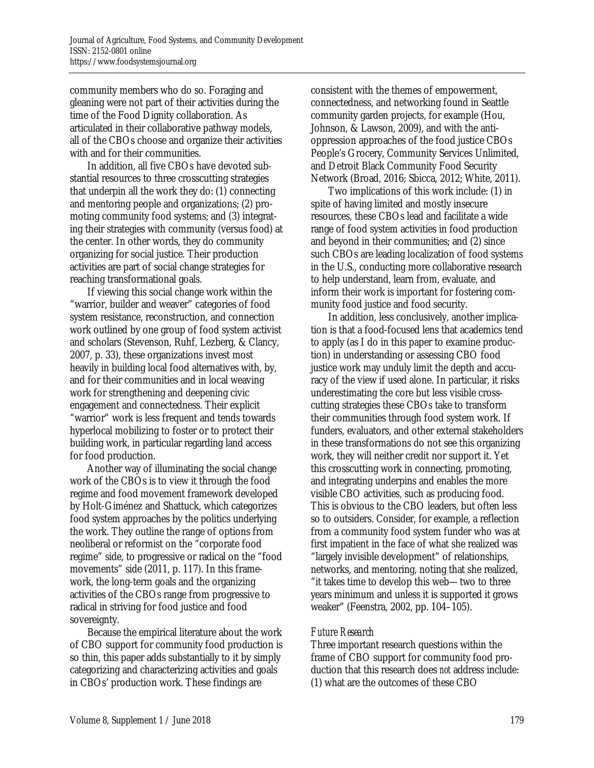community members who do so. Foraging and gleaning were not part of their activities during the time of the Food Dignity collaboration. As articulated in their collaborative pathway models, all of the CBOs choose and organize their activities with and for their communities.

 In addition, all five CBOs have devoted substantial resources to three crosscutting strategies that underpin all the work they do: (1) connecting and mentoring people and organizations; (2) promoting community food systems; and (3) integrating their strategies with community (versus food) at the center. In other words, they do community organizing for social justice. Their production activities are part of social change strategies for reaching transformational goals.

 If viewing this social change work within the "warrior, builder and weaver" categories of food system resistance, reconstruction, and connection work outlined by one group of food system activist and scholars (Stevenson, Ruhf, Lezberg, & Clancy, 2007, p. 33), these organizations invest most heavily in building local food alternatives with, by, and for their communities and in local weaving work for strengthening and deepening civic engagement and connectedness. Their explicit "warrior" work is less frequent and tends towards hyperlocal mobilizing to foster or to protect their building work, in particular regarding land access for food production.

 Another way of illuminating the social change work of the CBOs is to view it through the food regime and food movement framework developed by Holt-Giménez and Shattuck, which categorizes food system approaches by the politics underlying the work. They outline the range of options from neoliberal or reformist on the "corporate food regime" side, to progressive or radical on the "food movements" side (2011, p. 117). In this framework, the long-term goals and the organizing activities of the CBOs range from progressive to radical in striving for food justice and food sovereignty.

 Because the empirical literature about the work of CBO support for community food production is so thin, this paper adds substantially to it by simply categorizing and characterizing activities and goals in CBOs' production work. These findings are

consistent with the themes of empowerment, connectedness, and networking found in Seattle community garden projects, for example (Hou, Johnson, & Lawson, 2009), and with the antioppression approaches of the food justice CBOs People's Grocery, Community Services Unlimited, and Detroit Black Community Food Security Network (Broad, 2016; Sbicca, 2012; White, 2011).

 Two implications of this work include: (1) in spite of having limited and mostly insecure resources, these CBOs lead and facilitate a wide range of food system activities in food production and beyond in their communities; and (2) since such CBOs are leading localization of food systems in the U.S., conducting more collaborative research to help understand, learn from, evaluate, and inform their work is important for fostering community food justice and food security.

 In addition, less conclusively, another implication is that a food-focused lens that academics tend to apply (as I do in this paper to examine production) in understanding or assessing CBO food justice work may unduly limit the depth and accuracy of the view if used alone. In particular, it risks underestimating the core but less visible crosscutting strategies these CBOs take to transform their communities through food system work. If funders, evaluators, and other external stakeholders in these transformations do not see this organizing work, they will neither credit nor support it. Yet this crosscutting work in connecting, promoting, and integrating underpins and enables the more visible CBO activities, such as producing food. This is obvious to the CBO leaders, but often less so to outsiders. Consider, for example, a reflection from a community food system funder who was at first impatient in the face of what she realized was "largely invisible development" of relationships, networks, and mentoring, noting that she realized, "it takes time to develop this web—two to three years minimum and unless it is supported it grows weaker" (Feenstra, 2002, pp. 104–105).

#### *Future Research*

Three important research questions within the frame of CBO support for community food production that this research does *not* address include: (1) what are the outcomes of these CBO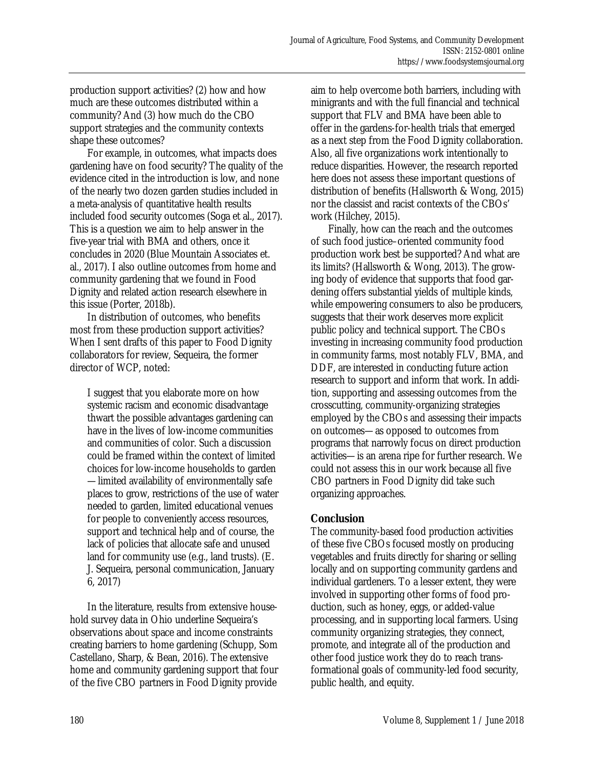production support activities? (2) how and how much are these outcomes distributed within a community? And (3) how much do the CBO support strategies and the community contexts shape these outcomes?

 For example, in outcomes, what impacts does gardening have on food security? The quality of the evidence cited in the introduction is low, and none of the nearly two dozen garden studies included in a meta-analysis of quantitative health results included food security outcomes (Soga et al., 2017). This is a question we aim to help answer in the five-year trial with BMA and others, once it concludes in 2020 (Blue Mountain Associates et. al., 2017). I also outline outcomes from home and community gardening that we found in Food Dignity and related action research elsewhere in this issue (Porter, 2018b).

 In distribution of outcomes, who benefits most from these production support activities? When I sent drafts of this paper to Food Dignity collaborators for review, Sequeira, the former director of WCP, noted:

I suggest that you elaborate more on how systemic racism and economic disadvantage thwart the possible advantages gardening can have in the lives of low-income communities and communities of color. Such a discussion could be framed within the context of limited choices for low-income households to garden —limited availability of environmentally safe places to grow, restrictions of the use of water needed to garden, limited educational venues for people to conveniently access resources, support and technical help and of course, the lack of policies that allocate safe and unused land for community use (e.g., land trusts). (E. J. Sequeira, personal communication, January 6, 2017)

 In the literature, results from extensive household survey data in Ohio underline Sequeira's observations about space and income constraints creating barriers to home gardening (Schupp, Som Castellano, Sharp, & Bean, 2016). The extensive home and community gardening support that four of the five CBO partners in Food Dignity provide

aim to help overcome both barriers, including with minigrants and with the full financial and technical support that FLV and BMA have been able to offer in the gardens-for-health trials that emerged as a next step from the Food Dignity collaboration. Also, all five organizations work intentionally to reduce disparities. However, the research reported here does not assess these important questions of distribution of benefits (Hallsworth & Wong, 2015) nor the classist and racist contexts of the CBOs' work (Hilchey, 2015).

 Finally, how can the reach and the outcomes of such food justice–oriented community food production work best be supported? And what are its limits? (Hallsworth & Wong, 2013). The growing body of evidence that supports that food gardening offers substantial yields of multiple kinds, while empowering consumers to also be producers, suggests that their work deserves more explicit public policy and technical support. The CBOs investing in increasing community food production in community farms, most notably FLV, BMA, and DDF, are interested in conducting future action research to support and inform that work. In addition, supporting and assessing outcomes from the crosscutting, community-organizing strategies employed by the CBOs and assessing their impacts on outcomes—as opposed to outcomes from programs that narrowly focus on direct production activities—is an arena ripe for further research. We could not assess this in our work because all five CBO partners in Food Dignity did take such organizing approaches.

#### **Conclusion**

The community-based food production activities of these five CBOs focused mostly on producing vegetables and fruits directly for sharing or selling locally and on supporting community gardens and individual gardeners. To a lesser extent, they were involved in supporting other forms of food production, such as honey, eggs, or added-value processing, and in supporting local farmers. Using community organizing strategies, they connect, promote, and integrate all of the production and other food justice work they do to reach transformational goals of community-led food security, public health, and equity.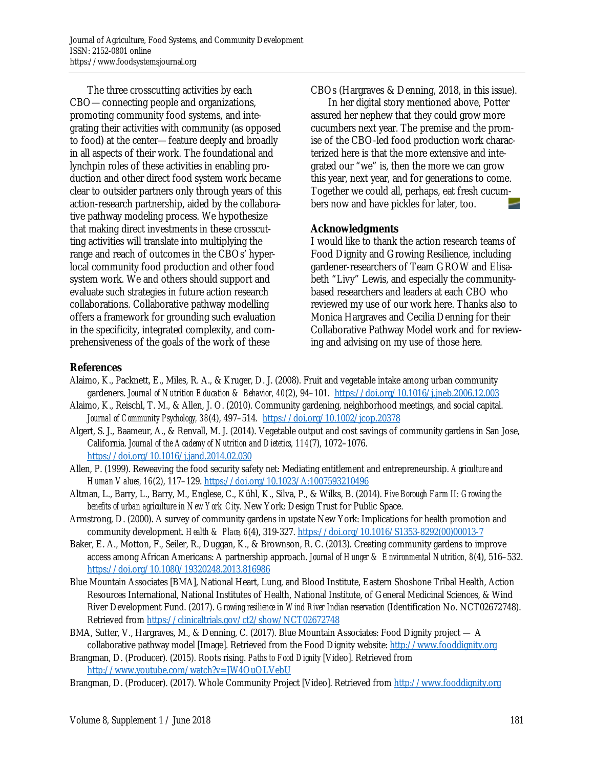The three crosscutting activities by each CBO—connecting people and organizations, promoting community food systems, and integrating their activities with community (as opposed to food) at the center—feature deeply and broadly in all aspects of their work. The foundational and lynchpin roles of these activities in enabling production and other direct food system work became clear to outsider partners only through years of this action-research partnership, aided by the collaborative pathway modeling process. We hypothesize that making direct investments in these crosscutting activities will translate into multiplying the range and reach of outcomes in the CBOs' hyperlocal community food production and other food system work. We and others should support and evaluate such strategies in future action research collaborations. Collaborative pathway modelling offers a framework for grounding such evaluation in the specificity, integrated complexity, and comprehensiveness of the goals of the work of these

CBOs (Hargraves & Denning, 2018, in this issue).

 In her digital story mentioned above, Potter assured her nephew that they could grow more cucumbers next year. The premise and the promise of the CBO-led food production work characterized here is that the more extensive and integrated our "we" is, then the more we can grow this year, next year, and for generations to come. Together we could all, perhaps, eat fresh cucumbers now and have pickles for later, too.

#### **Acknowledgments**

I would like to thank the action research teams of Food Dignity and Growing Resilience, including gardener-researchers of Team GROW and Elisabeth "Livy" Lewis, and especially the communitybased researchers and leaders at each CBO who reviewed my use of our work here. Thanks also to Monica Hargraves and Cecilia Denning for their Collaborative Pathway Model work and for reviewing and advising on my use of those here.

#### **References**

- Alaimo, K., Packnett, E., Miles, R. A., & Kruger, D. J. (2008). Fruit and vegetable intake among urban community gardeners. *Journal of Nutrition Education & Behavior, 40*(2), 94–101. https://doi.org/10.1016/j.jneb.2006.12.003
- Alaimo, K., Reischl, T. M., & Allen, J. O. (2010). Community gardening, neighborhood meetings, and social capital. *Journal of Community Psychology, 38*(4), 497–514. https://doi.org/10.1002/jcop.20378
- Algert, S. J., Baameur, A., & Renvall, M. J. (2014). Vegetable output and cost savings of community gardens in San Jose, California. *Journal of the Academy of Nutrition and Dietetics, 114*(7), 1072–1076. https://doi.org/10.1016/j.jand.2014.02.030
- Allen, P. (1999). Reweaving the food security safety net: Mediating entitlement and entrepreneurship. *Agriculture and Human Values, 16*(2), 117–129. https://doi.org/10.1023/A:1007593210496
- Altman, L., Barry, L., Barry, M., Englese, C., Kühl, K., Silva, P., & Wilks, B. (2014). *Five Borough Farm II: Growing the benefits of urban agriculture in New York City.* New York: Design Trust for Public Space.
- Armstrong, D. (2000). A survey of community gardens in upstate New York: Implications for health promotion and community development. *Health & Place, 6*(4), 319-327. [https://doi.org/10.1016/S1353-8292\(00\)00013-7](https://doi.org/10.1016/S1353-8292(00)00013-7)
- Baker, E. A., Motton, F., Seiler, R., Duggan, K., & Brownson, R. C. (2013). Creating community gardens to improve access among African Americans: A partnership approach. *Journal of Hunger & Environmental Nutrition, 8*(4), 516–532. https://doi.org/10.1080/19320248.2013.816986
- Blue Mountain Associates [BMA], National Heart, Lung, and Blood Institute, Eastern Shoshone Tribal Health, Action Resources International, National Institutes of Health, National Institute, of General Medicinal Sciences, & Wind River Development Fund. (2017). *Growing resilience in Wind River Indian reservation* (Identification No. NCT02672748). Retrieved from https://clinicaltrials.gov/ct2/show/NCT02672748
- BMA, Sutter, V., Hargraves, M., & Denning, C. (2017). Blue Mountain Associates: Food Dignity project A collaborative pathway model [Image]. Retrieved from the Food Dignity website: http://www.fooddignity.org
- Brangman, D. (Producer). (2015). Roots rising. *Paths to Food Dignity* [Video]. Retrieved from http://www.youtube.com/watch?v=JW4OuOLVebU
- Brangman, D. (Producer). (2017). Whole Community Project [Video]. Retrieved from http://www.fooddignity.org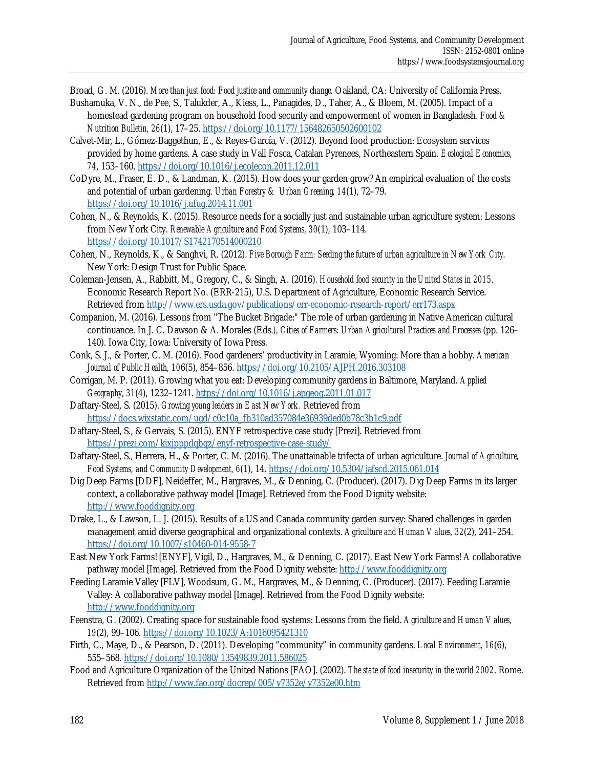Broad, G. M. (2016). *More than just food: Food justice and community change*. Oakland, CA: University of California Press.

- Bushamuka, V. N., de Pee, S., Talukder, A., Kiess, L., Panagides, D., Taher, A., & Bloem, M. (2005). Impact of a homestead gardening program on household food security and empowerment of women in Bangladesh. *Food & Nutrition Bulletin, 26*(1), 17–25. https://doi.org/10.1177/156482650502600102
- Calvet-Mir, L., Gómez-Baggethun, E., & Reyes-García, V. (2012). Beyond food production: Ecosystem services provided by home gardens. A case study in Vall Fosca, Catalan Pyrenees, Northeastern Spain. *Ecological Economics, 74*, 153–160. https://doi.org/10.1016/j.ecolecon.2011.12.011
- CoDyre, M., Fraser, E. D., & Landman, K. (2015). How does your garden grow? An empirical evaluation of the costs and potential of urban gardening. *Urban Forestry & Urban Greening, 14*(1), 72–79. https://doi.org/10.1016/j.ufug.2014.11.001
- Cohen, N., & Reynolds, K. (2015). Resource needs for a socially just and sustainable urban agriculture system: Lessons from New York City. *Renewable Agriculture and Food Systems, 30*(1), 103–114. https://doi.org/10.1017/S1742170514000210
- Cohen, N., Reynolds, K., & Sanghvi, R. (2012). *Five Borough Farm: Seeding the future of urban agriculture in New York City*. New York: Design Trust for Public Space.
- Coleman-Jensen, A., Rabbitt, M., Gregory, C., & Singh, A. (2016). *Household food security in the United States in 2015*. Economic Research Report No. (ERR-215), U.S. Department of Agriculture, Economic Research Service. Retrieved from http://www.ers.usda.gov/publications/err-economic-research-report/err173.aspx
- Companion, M. (2016). Lessons from "The Bucket Brigade:" The role of urban gardening in Native American cultural continuance. In J. C. Dawson & A. Morales (Eds*.), Cities of Farmers: Urban Agricultural Practices and Processes* (pp. 126– 140). Iowa City, Iowa: University of Iowa Press.
- Conk, S. J., & Porter, C. M. (2016). Food gardeners' productivity in Laramie, Wyoming: More than a hobby. *American Journal of Public Health, 10*6(5), 854–856. https://doi.org/10.2105/AJPH.2016.303108
- Corrigan, M. P. (2011). Growing what you eat: Developing community gardens in Baltimore, Maryland. *Applied Geography*, *31*(4), 1232–1241. https://doi.org/10.1016/j.apgeog.2011.01.017
- Daftary-Steel, S. (2015). *Growing young leaders in East New York.* Retrieved from https://docs.wixstatic.com/ugd/c0c10a\_fb310ad357084e36939ded0b78c3b1c9.pdf
- Daftary-Steel, S., & Gervais, S. (2015). ENYF retrospective case study [Prezi]. Retrieved from https://prezi.com/kixjpppdqbqz/enyf-retrospective-case-study/
- Daftary-Steel, S., Herrera, H., & Porter, C. M. (2016). The unattainable trifecta of urban agriculture. *Journal of Agriculture, Food Systems, and Community Development, 6*(1), 14. https://doi.org/10.5304/jafscd.2015.061.014
- Dig Deep Farms [DDF], Neideffer, M., Hargraves, M., & Denning, C. (Producer). (2017). Dig Deep Farms in its larger context, a collaborative pathway model [Image]. Retrieved from the Food Dignity website: http://www.fooddignity.org
- Drake, L., & Lawson, L. J. (2015). Results of a US and Canada community garden survey: Shared challenges in garden management amid diverse geographical and organizational contexts. *Agriculture and Human Values, 32*(2), 241–254. https://doi.org/10.1007/s10460-014-9558-7
- East New York Farms! [ENYF], Vigil, D., Hargraves, M., & Denning, C. (2017). East New York Farms! A collaborative pathway model [Image]. Retrieved from the Food Dignity website: http://www.fooddignity.org
- Feeding Laramie Valley [FLV], Woodsum, G. M., Hargraves, M., & Denning, C. (Producer). (2017). Feeding Laramie Valley: A collaborative pathway model [Image]. Retrieved from the Food Dignity website: http://www.fooddignity.org
- Feenstra, G. (2002). Creating space for sustainable food systems: Lessons from the field. *Agriculture and Human Values, 19*(2), 99–106. https://doi.org/10.1023/A:1016095421310
- Firth, C., Maye, D., & Pearson, D. (2011). Developing "community" in community gardens. *Local Environment, 16*(6), 555–568. https://doi.org/10.1080/13549839.2011.586025
- Food and Agriculture Organization of the United Nations [FAO]. (2002). *The state of food insecurity in the world 2002*. Rome. Retrieved from http://www.fao.org/docrep/005/y7352e/y7352e00.htm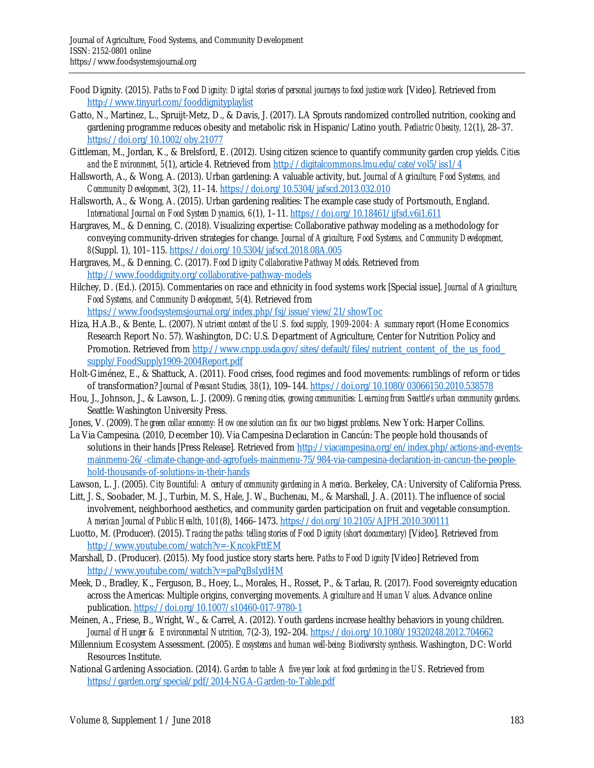- Food Dignity. (2015). *Paths to Food Dignity: Digital stories of personal journeys to food justice work* [Video]. Retrieved from http://www.tinyurl.com/fooddignityplaylist
- Gatto, N., Martinez, L., Spruijt-Metz, D., & Davis, J. (2017). LA Sprouts randomized controlled nutrition, cooking and gardening programme reduces obesity and metabolic risk in Hispanic/Latino youth. *Pediatric Obesity, 12*(1), 28–37. https://doi.org/10.1002/oby.21077
- Gittleman, M., Jordan, K., & Brelsford, E. (2012). Using citizen science to quantify community garden crop yields. *Cities and the Environment, 5*(1), article 4. Retrieved from http://digitalcommons.lmu.edu/cate/vol5/iss1/4
- Hallsworth, A., & Wong, A. (2013). Urban gardening: A valuable activity, but. *Journal of Agriculture, Food Systems, and Community Development, 3*(2), 11–14. https://doi.org/10.5304/jafscd.2013.032.010
- Hallsworth, A., & Wong, A. (2015). Urban gardening realities: The example case study of Portsmouth, England. *International Journal on Food System Dynamics, 6*(1), 1–11. https://doi.org/10.18461/ijfsd.v6i1.611
- Hargraves, M., & Denning, C. (2018). Visualizing expertise: Collaborative pathway modeling as a methodology for conveying community-driven strategies for change. *Journal of Agriculture, Food Systems, and Community Development, 8*(Suppl. 1), 101–115. https://doi.org/10.5304/jafscd.2018.08A.005
- Hargraves, M., & Denning, C. (2017). *Food Dignity Collaborative Pathway Models*. Retrieved from http://www.fooddignity.org/collaborative-pathway-models
- Hilchey, D. (Ed.). (2015). Commentaries on race and ethnicity in food systems work [Special issue]. *Journal of Agriculture, Food Systems, and Community Development, 5*(4). Retrieved from https://www.foodsystemsjournal.org/index.php/fsj/issue/view/21/showToc
- Hiza, H.A.B., & Bente, L. (2007). *Nutrient content of the U.S. food supply, 1909-2004: A summary report* (Home Economics Research Report No. 57). Washington, DC: U.S. Department of Agriculture, Center for Nutrition Policy and Promotion. Retrieved from http://www.cnpp.usda.gov/sites/default/files/nutrient\_content\_of\_the\_us\_food supply/FoodSupply1909-2004Report.pdf
- Holt-Giménez, E., & Shattuck, A. (2011). Food crises, food regimes and food movements: rumblings of reform or tides of transformation? *Journal of Peasant Studies, 38*(1), 109–144. https://doi.org/10.1080/03066150.2010.538578
- Hou, J., Johnson, J., & Lawson, L. J. (2009). *Greening cities, growing communities: Learning from Seattle's urban community gardens*. Seattle: Washington University Press.
- Jones, V. (2009). *The green collar economy: How one solution can fix our two biggest problems*. New York: Harper Collins.
- La Via Campesina. (2010, December 10). Via Campesina Declaration in Cancún: The people hold thousands of [solutions in their hands \[Press Release\]. Retrieved from http://viacampesina.org/en/index.php/actions-and-events](http://viacampesina.org/en/index.php/actions-and-events-mainmenu-26/-climate-change-and-agrofuels-mainmenu-75/984-via-campesina-declaration-in-cancun-the-people-hold-thousands-of-solutions-in-their-hands)mainmenu-26/-climate-change-and-agrofuels-mainmenu-75/984-via-campesina-declaration-in-cancun-the-peoplehold-thousands-of-solutions-in-their-hands
- Lawson, L. J. (2005). *City Bountiful: A century of community gardening in America*. Berkeley, CA: University of California Press.
- Litt, J. S., Soobader, M. J., Turbin, M. S., Hale, J. W., Buchenau, M., & Marshall, J. A. (2011). The influence of social involvement, neighborhood aesthetics, and community garden participation on fruit and vegetable consumption. *American Journal of Public Health, 101*(8), 1466–1473. https://doi.org/10.2105/AJPH.2010.300111
- Luotto, M. (Producer). (2015). *Tracing the paths: telling stories of Food Dignity (short documentary)* [Video]. Retrieved from http://www.youtube.com/watch?v=-KncokFttEM
- Marshall, D. (Producer). (2015). My food justice story starts here. *Paths to Food Dignity* [Video] Retrieved from http://www.youtube.com/watch?v=paPqBsIydHM
- Meek, D., Bradley, K., Ferguson, B., Hoey, L., Morales, H., Rosset, P., & Tarlau, R. (2017). Food sovereignty education across the Americas: Multiple origins, converging movements. *Agriculture and Human Values*. Advance online publication. https://doi.org/10.1007/s10460-017-9780-1
- Meinen, A., Friese, B., Wright, W., & Carrel, A. (2012). Youth gardens increase healthy behaviors in young children. *Journal of Hunger & Environmental Nutrition, 7*(2-3), 192–204. https://doi.org/10.1080/19320248.2012.704662
- Millennium Ecosystem Assessment. (2005). *Ecosystems and human well-being: Biodiversity synthesis*. Washington, DC: World Resources Institute.
- National Gardening Association. (2014). *Garden to table: A five year look at food gardening in the US*. Retrieved from https://garden.org/special/pdf/2014-NGA-Garden-to-Table.pdf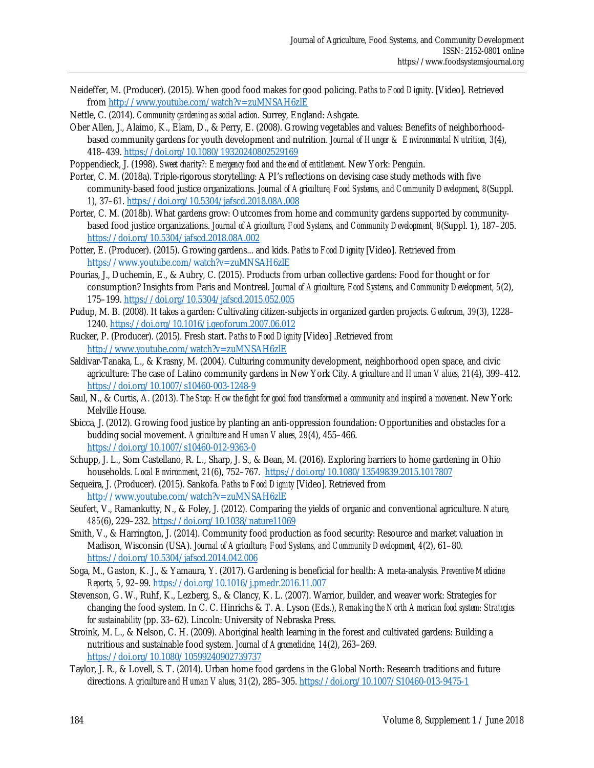Neideffer, M. (Producer). (2015). When good food makes for good policing. *Paths to Food Dignity*. [Video]. Retrieved from http://www.youtube.com/watch?v=zuMNSAH6zlE

Nettle, C. (2014). *Community gardening as social action*. Surrey, England: Ashgate.

Ober Allen, J., Alaimo, K., Elam, D., & Perry, E. (2008). Growing vegetables and values: Benefits of neighborhoodbased community gardens for youth development and nutrition. *Journal of Hunger & Environmental Nutrition, 3*(4), 418–439. https://doi.org/10.1080/19320240802529169

Poppendieck, J. (1998). *Sweet charity?: Emergency food and the end of entitlement*. New York: Penguin.

- Porter, C. M. (2018a). Triple-rigorous storytelling: A PI's reflections on devising case study methods with five community-based food justice organizations. *Journal of Agriculture, Food Systems, and Community Development, 8*(Suppl. 1), 37–61. https://doi.org/10.5304/jafscd.2018.08A.008
- Porter, C. M. (2018b). What gardens grow: Outcomes from home and community gardens supported by communitybased food justice organizations. *Journal of Agriculture, Food Systems, and Community Development, 8*(Suppl. 1), 187–205. https://doi.org/10.5304/jafscd.2018.08A.002
- Potter, E. (Producer). (2015). Growing gardens... and kids. *Paths to Food Dignity* [Video]. Retrieved from https://www.youtube.com/watch?v=zuMNSAH6zlE
- Pourias, J., Duchemin, E., & Aubry, C. (2015). Products from urban collective gardens: Food for thought or for consumption? Insights from Paris and Montreal. *Journal of Agriculture, Food Systems, and Community Development, 5*(2), 175–199. https://doi.org/10.5304/jafscd.2015.052.005
- Pudup, M. B. (2008). It takes a garden: Cultivating citizen-subjects in organized garden projects. *Geoforum, 39*(3), 1228– 1240. https://doi.org/10.1016/j.geoforum.2007.06.012
- Rucker, P. (Producer). (2015). Fresh start. *Paths to Food Dignity* [Video] .Retrieved from http://www.youtube.com/watch?v=zuMNSAH6zlE
- Saldivar-Tanaka, L., & Krasny, M. (2004). Culturing community development, neighborhood open space, and civic agriculture: The case of Latino community gardens in New York City. *Agriculture and Human Values, 21*(4), 399–412. https://doi.org/10.1007/s10460-003-1248-9
- Saul, N., & Curtis, A. (2013). *The Stop: How the fight for good food transformed a community and inspired a movement*. New York: Melville House.
- Sbicca, J. (2012). Growing food justice by planting an anti-oppression foundation: Opportunities and obstacles for a budding social movement. *Agriculture and Human Values, 29*(4), 455–466. https://doi.org/10.1007/s10460-012-9363-0
- Schupp, J. L., Som Castellano, R. L., Sharp, J. S., & Bean, M. (2016). Exploring barriers to home gardening in Ohio households. *Local Environment, 21*(6), 752–767. https://doi.org/10.1080/13549839.2015.1017807
- Sequeira, J. (Producer). (2015). Sankofa*. Paths to Food Dignity* [Video]. Retrieved from http://www.youtube.com/watch?v=zuMNSAH6zlE
- Seufert, V., Ramankutty, N., & Foley, J. (2012). Comparing the yields of organic and conventional agriculture. *Nature, 485*(6), 229–232. https://doi.org/10.1038/nature11069
- Smith, V., & Harrington, J. (2014). Community food production as food security: Resource and market valuation in Madison, Wisconsin (USA). *Journal of Agriculture, Food Systems, and Community Development, 4*(2), 61–80. https://doi.org/10.5304/jafscd.2014.042.006
- Soga, M., Gaston, K. J., & Yamaura, Y. (2017). Gardening is beneficial for health: A meta-analysis. *Preventive Medicine Reports, 5*, 92–99. https://doi.org/10.1016/j.pmedr.2016.11.007
- Stevenson, G. W., Ruhf, K., Lezberg, S., & Clancy, K. L. (2007). Warrior, builder, and weaver work: Strategies for changing the food system. In C. C. Hinrichs & T. A. Lyson (Eds.), *Remaking the North American food system: Strategies for sustainability* (pp. 33–62). Lincoln: University of Nebraska Press.
- Stroink, M. L., & Nelson, C. H. (2009). Aboriginal health learning in the forest and cultivated gardens: Building a nutritious and sustainable food system. *Journal of Agromedicine, 14*(2), 263–269. https://doi.org/10.1080/10599240902739737
- Taylor, J. R., & Lovell, S. T. (2014). Urban home food gardens in the Global North: Research traditions and future directions. *Agriculture and Human Values, 31*(2), 285–305. https://doi.org/10.1007/S10460-013-9475-1